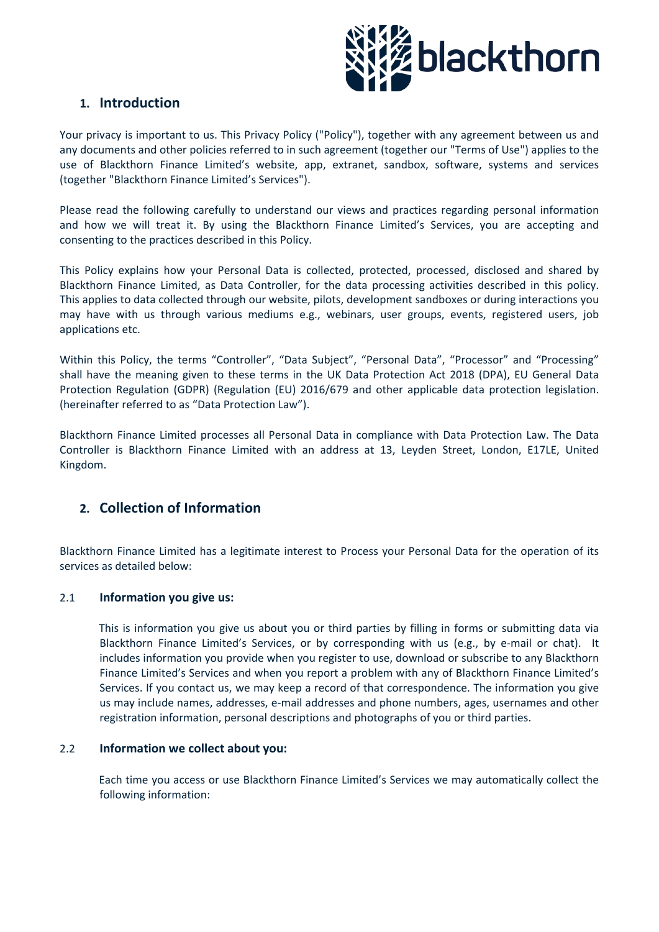

## **1. Introduction**

Your privacy is important to us. This Privacy Policy ("Policy"), together with any agreement between us and any documents and other policies referred to in such agreement (together our "Terms of Use") applies to the use of Blackthorn Finance Limited's website, app, extranet, sandbox, software, systems and services (together "Blackthorn Finance Limited's Services").

Please read the following carefully to understand our views and practices regarding personal information and how we will treat it. By using the Blackthorn Finance Limited's Services, you are accepting and consenting to the practices described in this Policy.

This Policy explains how your Personal Data is collected, protected, processed, disclosed and shared by Blackthorn Finance Limited, as Data Controller, for the data processing activities described in this policy. This applies to data collected through our website, pilots, development sandboxes or during interactions you may have with us through various mediums e.g., webinars, user groups, events, registered users, job applications etc.

Within this Policy, the terms "Controller", "Data Subject", "Personal Data", "Processor" and "Processing" shall have the meaning given to these terms in the UK Data Protection Act 2018 (DPA), EU General Data Protection Regulation (GDPR) (Regulation (EU) 2016/679 and other applicable data protection legislation. (hereinafter referred to as "Data Protection Law").

Blackthorn Finance Limited processes all Personal Data in compliance with Data Protection Law. The Data Controller is Blackthorn Finance Limited with an address at 13, Leyden Street, London, E17LE, United Kingdom.

# **2. Collection of Information**

Blackthorn Finance Limited has a legitimate interest to Process your Personal Data for the operation of its services as detailed below:

#### 2.1 **Information you give us:**

This is information you give us about you or third parties by filling in forms or submitting data via Blackthorn Finance Limited's Services, or by corresponding with us (e.g., by e-mail or chat). It includes information you provide when you register to use, download or subscribe to any Blackthorn Finance Limited's Services and when you report a problem with any of Blackthorn Finance Limited's Services. If you contact us, we may keep a record of that correspondence. The information you give us may include names, addresses, e-mail addresses and phone numbers, ages, usernames and other registration information, personal descriptions and photographs of you or third parties.

#### 2.2 **Information we collect about you:**

Each time you access or use Blackthorn Finance Limited's Services we may automatically collect the following information: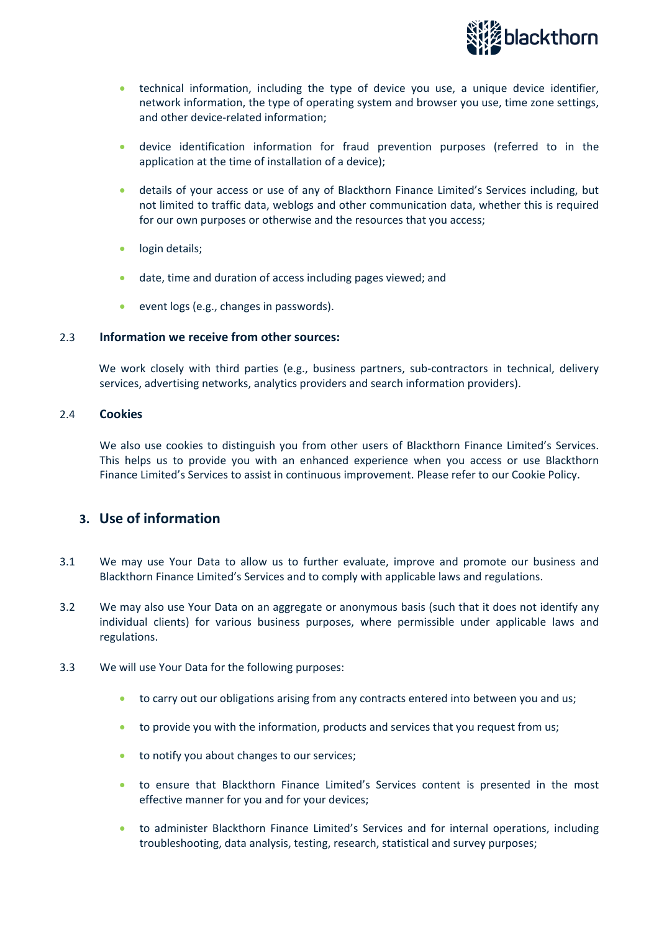

- technical information, including the type of device you use, a unique device identifier, network information, the type of operating system and browser you use, time zone settings, and other device-related information;
- device identification information for fraud prevention purposes (referred to in the application at the time of installation of a device);
- details of your access or use of any of Blackthorn Finance Limited's Services including, but not limited to traffic data, weblogs and other communication data, whether this is required for our own purposes or otherwise and the resources that you access;
- login details;
- date, time and duration of access including pages viewed; and
- event logs (e.g., changes in passwords).

#### 2.3 **Information we receive from other sources:**

We work closely with third parties (e.g., business partners, sub-contractors in technical, delivery services, advertising networks, analytics providers and search information providers).

#### 2.4 **Cookies**

We also use cookies to distinguish you from other users of Blackthorn Finance Limited's Services. This helps us to provide you with an enhanced experience when you access or use Blackthorn Finance Limited's Services to assist in continuous improvement. Please refer to our Cookie Policy.

### **3. Use of information**

- 3.1 We may use Your Data to allow us to further evaluate, improve and promote our business and Blackthorn Finance Limited's Services and to comply with applicable laws and regulations.
- 3.2 We may also use Your Data on an aggregate or anonymous basis (such that it does not identify any individual clients) for various business purposes, where permissible under applicable laws and regulations.
- 3.3 We will use Your Data for the following purposes:
	- to carry out our obligations arising from any contracts entered into between you and us;
	- to provide you with the information, products and services that you request from us;
	- to notify you about changes to our services;
	- to ensure that Blackthorn Finance Limited's Services content is presented in the most effective manner for you and for your devices;
	- to administer Blackthorn Finance Limited's Services and for internal operations, including troubleshooting, data analysis, testing, research, statistical and survey purposes;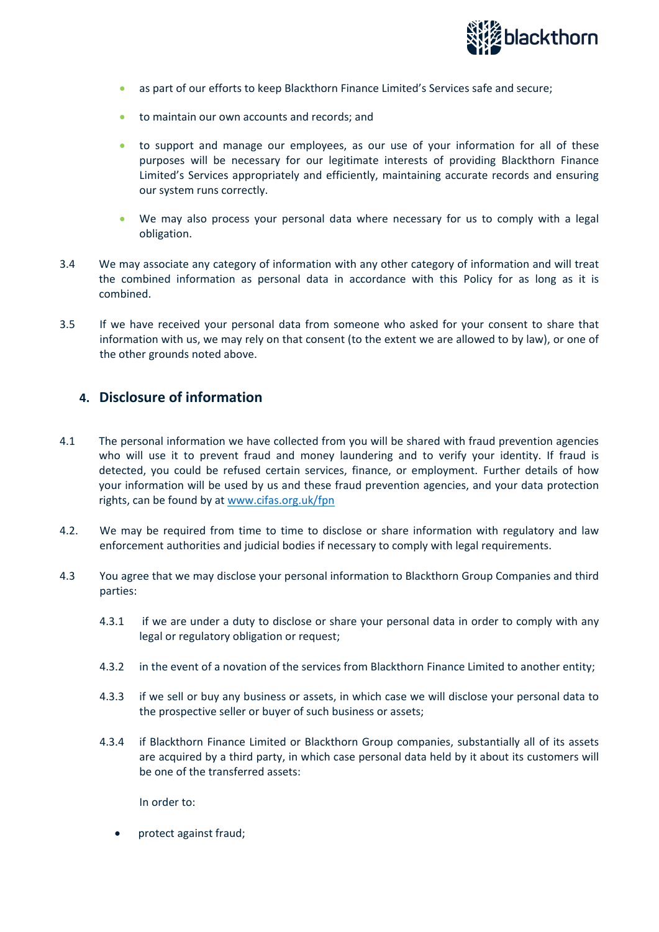

- as part of our efforts to keep Blackthorn Finance Limited's Services safe and secure;
- to maintain our own accounts and records; and
- to support and manage our employees, as our use of your information for all of these purposes will be necessary for our legitimate interests of providing Blackthorn Finance Limited's Services appropriately and efficiently, maintaining accurate records and ensuring our system runs correctly.
- We may also process your personal data where necessary for us to comply with a legal obligation.
- 3.4 We may associate any category of information with any other category of information and will treat the combined information as personal data in accordance with this Policy for as long as it is combined.
- 3.5 If we have received your personal data from someone who asked for your consent to share that information with us, we may rely on that consent (to the extent we are allowed to by law), or one of the other grounds noted above.

## **4. Disclosure of information**

- 4.1 The personal information we have collected from you will be shared with fraud prevention agencies who will use it to prevent fraud and money laundering and to verify your identity. If fraud is detected, you could be refused certain services, finance, or employment. Further details of how your information will be used by us and these fraud prevention agencies, and your data protection rights, can be found by at [www.cifas.org.uk/fpn](http://www.cifas.org.uk/fpn)
- 4.2. We may be required from time to time to disclose or share information with regulatory and law enforcement authorities and judicial bodies if necessary to comply with legal requirements.
- 4.3 You agree that we may disclose your personal information to Blackthorn Group Companies and third parties:
	- 4.3.1 if we are under a duty to disclose or share your personal data in order to comply with any legal or regulatory obligation or request;
	- 4.3.2 in the event of a novation of the services from Blackthorn Finance Limited to another entity;
	- 4.3.3 if we sell or buy any business or assets, in which case we will disclose your personal data to the prospective seller or buyer of such business or assets;
	- 4.3.4 if Blackthorn Finance Limited or Blackthorn Group companies, substantially all of its assets are acquired by a third party, in which case personal data held by it about its customers will be one of the transferred assets:

In order to:

• protect against fraud;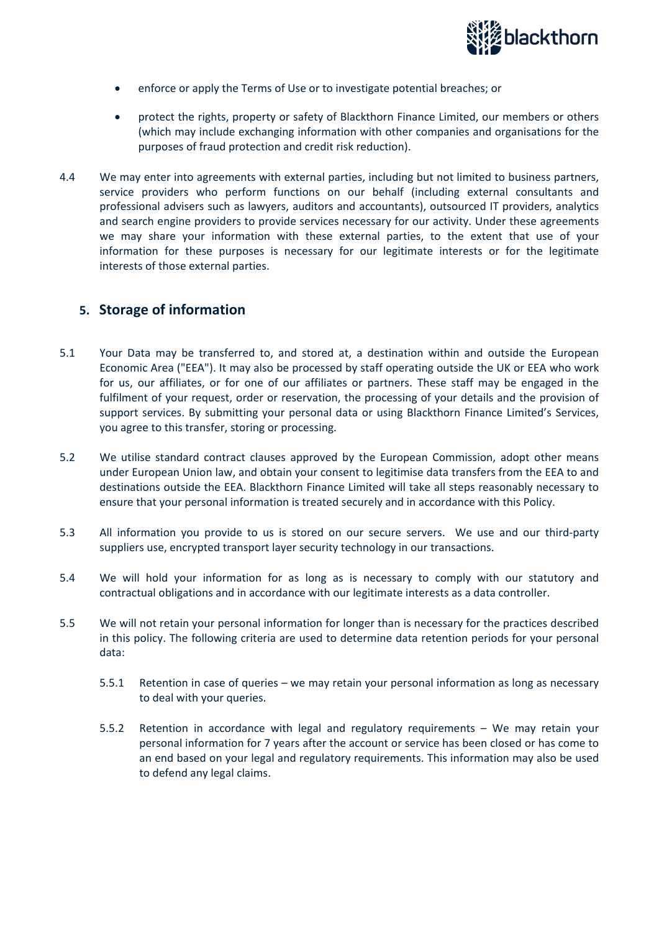

- enforce or apply the Terms of Use or to investigate potential breaches; or
- protect the rights, property or safety of Blackthorn Finance Limited, our members or others (which may include exchanging information with other companies and organisations for the purposes of fraud protection and credit risk reduction).
- 4.4 We may enter into agreements with external parties, including but not limited to business partners, service providers who perform functions on our behalf (including external consultants and professional advisers such as lawyers, auditors and accountants), outsourced IT providers, analytics and search engine providers to provide services necessary for our activity. Under these agreements we may share your information with these external parties, to the extent that use of your information for these purposes is necessary for our legitimate interests or for the legitimate interests of those external parties.

### **5. Storage of information**

- 5.1 Your Data may be transferred to, and stored at, a destination within and outside the European Economic Area ("EEA"). It may also be processed by staff operating outside the UK or EEA who work for us, our affiliates, or for one of our affiliates or partners. These staff may be engaged in the fulfilment of your request, order or reservation, the processing of your details and the provision of support services. By submitting your personal data or using Blackthorn Finance Limited's Services, you agree to this transfer, storing or processing.
- 5.2 We utilise standard contract clauses approved by the European Commission, adopt other means under European Union law, and obtain your consent to legitimise data transfers from the EEA to and destinations outside the EEA. Blackthorn Finance Limited will take all steps reasonably necessary to ensure that your personal information is treated securely and in accordance with this Policy.
- 5.3 All information you provide to us is stored on our secure servers. We use and our third-party suppliers use, encrypted transport layer security technology in our transactions.
- 5.4 We will hold your information for as long as is necessary to comply with our statutory and contractual obligations and in accordance with our legitimate interests as a data controller.
- 5.5 We will not retain your personal information for longer than is necessary for the practices described in this policy. The following criteria are used to determine data retention periods for your personal data:
	- 5.5.1 Retention in case of queries we may retain your personal information as long as necessary to deal with your queries.
	- 5.5.2 Retention in accordance with legal and regulatory requirements We may retain your personal information for 7 years after the account or service has been closed or has come to an end based on your legal and regulatory requirements. This information may also be used to defend any legal claims.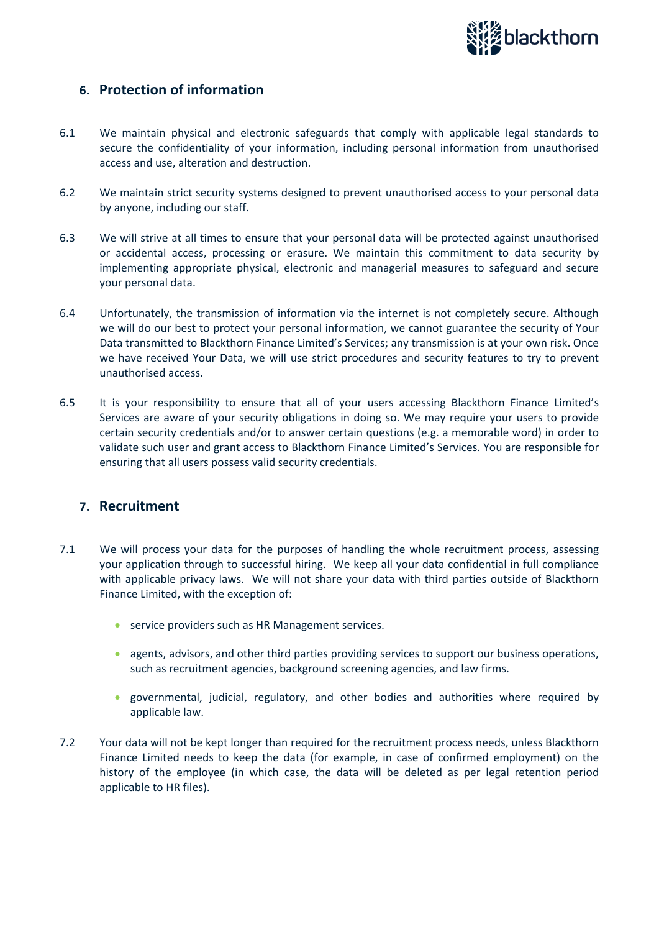

## **6. Protection of information**

- 6.1 We maintain physical and electronic safeguards that comply with applicable legal standards to secure the confidentiality of your information, including personal information from unauthorised access and use, alteration and destruction.
- 6.2 We maintain strict security systems designed to prevent unauthorised access to your personal data by anyone, including our staff.
- 6.3 We will strive at all times to ensure that your personal data will be protected against unauthorised or accidental access, processing or erasure. We maintain this commitment to data security by implementing appropriate physical, electronic and managerial measures to safeguard and secure your personal data.
- 6.4 Unfortunately, the transmission of information via the internet is not completely secure. Although we will do our best to protect your personal information, we cannot guarantee the security of Your Data transmitted to Blackthorn Finance Limited's Services; any transmission is at your own risk. Once we have received Your Data, we will use strict procedures and security features to try to prevent unauthorised access.
- 6.5 It is your responsibility to ensure that all of your users accessing Blackthorn Finance Limited's Services are aware of your security obligations in doing so. We may require your users to provide certain security credentials and/or to answer certain questions (e.g. a memorable word) in order to validate such user and grant access to Blackthorn Finance Limited's Services. You are responsible for ensuring that all users possess valid security credentials.

### **7. Recruitment**

- 7.1 We will process your data for the purposes of handling the whole recruitment process, assessing your application through to successful hiring. We keep all your data confidential in full compliance with applicable privacy laws. We will not share your data with third parties outside of Blackthorn Finance Limited, with the exception of:
	- service providers such as HR Management services.
	- agents, advisors, and other third parties providing services to support our business operations, such as recruitment agencies, background screening agencies, and law firms.
	- governmental, judicial, regulatory, and other bodies and authorities where required by applicable law.
- 7.2 Your data will not be kept longer than required for the recruitment process needs, unless Blackthorn Finance Limited needs to keep the data (for example, in case of confirmed employment) on the history of the employee (in which case, the data will be deleted as per legal retention period applicable to HR files).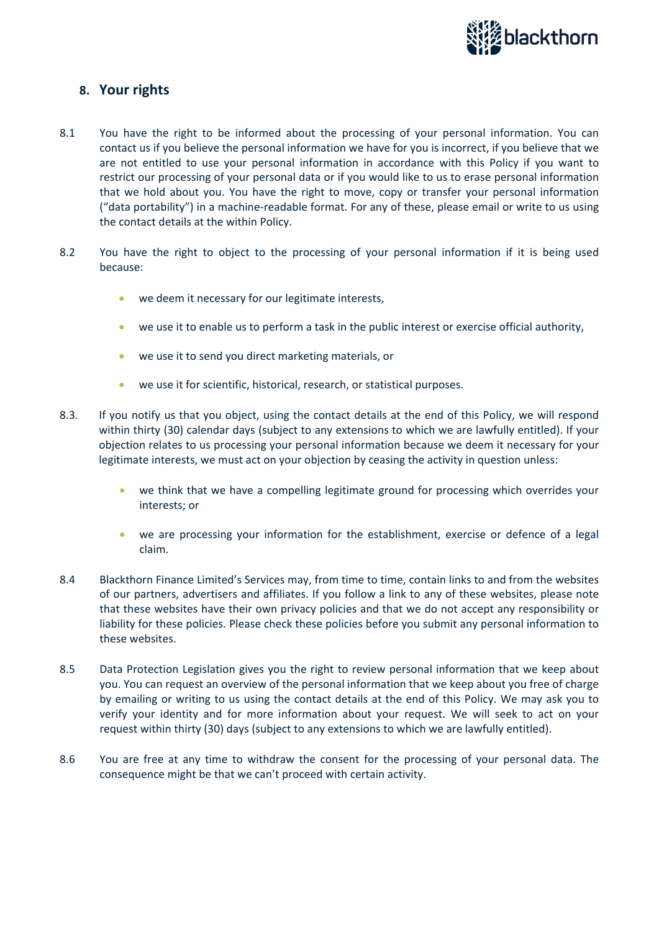

## **8. Your rights**

- 8.1 You have the right to be informed about the processing of your personal information. You can contact us if you believe the personal information we have for you is incorrect, if you believe that we are not entitled to use your personal information in accordance with this Policy if you want to restrict our processing of your personal data or if you would like to us to erase personal information that we hold about you. You have the right to move, copy or transfer your personal information ("data portability") in a machine-readable format. For any of these, please email or write to us using the contact details at the within Policy.
- 8.2 You have the right to object to the processing of your personal information if it is being used because:
	- we deem it necessary for our legitimate interests,
	- we use it to enable us to perform a task in the public interest or exercise official authority,
	- we use it to send you direct marketing materials, or
	- we use it for scientific, historical, research, or statistical purposes.
- 8.3. If you notify us that you object, using the contact details at the end of this Policy, we will respond within thirty (30) calendar days (subject to any extensions to which we are lawfully entitled). If your objection relates to us processing your personal information because we deem it necessary for your legitimate interests, we must act on your objection by ceasing the activity in question unless:
	- we think that we have a compelling legitimate ground for processing which overrides your interests; or
	- we are processing your information for the establishment, exercise or defence of a legal claim.
- 8.4 Blackthorn Finance Limited's Services may, from time to time, contain links to and from the websites of our partners, advertisers and affiliates. If you follow a link to any of these websites, please note that these websites have their own privacy policies and that we do not accept any responsibility or liability for these policies. Please check these policies before you submit any personal information to these websites.
- 8.5 Data Protection Legislation gives you the right to review personal information that we keep about you. You can request an overview of the personal information that we keep about you free of charge by emailing or writing to us using the contact details at the end of this Policy. We may ask you to verify your identity and for more information about your request. We will seek to act on your request within thirty (30) days (subject to any extensions to which we are lawfully entitled).
- 8.6 You are free at any time to withdraw the consent for the processing of your personal data. The consequence might be that we can't proceed with certain activity.